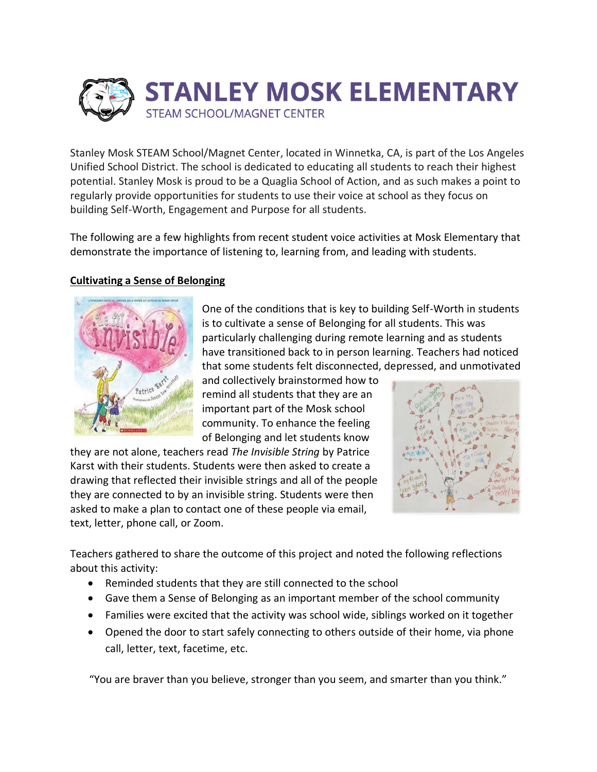

Stanley Mosk STEAM School/Magnet Center, located in Winnetka, CA, is part of the Los Angeles Unified School District. The school is dedicated to educating all students to reach their highest potential. Stanley Mosk is proud to be a Quaglia School of Action, and as such makes a point to regularly provide opportunities for students to use their voice at school as they focus on building Self-Worth, Engagement and Purpose for all students.

The following are a few highlights from recent student voice activities at Mosk Elementary that demonstrate the importance of listening to, learning from, and leading with students.

## **Cultivating a Sense of Belonging**



One of the conditions that is key to building Self-Worth in students is to cultivate a sense of Belonging for all students. This was particularly challenging during remote learning and as students have transitioned back to in person learning. Teachers had noticed that some students felt disconnected, depressed, and unmotivated

and collectively brainstormed how to remind all students that they are an important part of the Mosk school community. To enhance the feeling of Belonging and let students know

they are not alone, teachers read *The Invisible String* by Patrice Karst with their students. Students were then asked to create a drawing that reflected their invisible strings and all of the people they are connected to by an invisible string. Students were then asked to make a plan to contact one of these people via email, text, letter, phone call, or Zoom.



Teachers gathered to share the outcome of this project and noted the following reflections about this activity:

- Reminded students that they are still connected to the school
- Gave them a Sense of Belonging as an important member of the school community
- Families were excited that the activity was school wide, siblings worked on it together
- Opened the door to start safely connecting to others outside of their home, via phone call, letter, text, facetime, etc.

"You are braver than you believe, stronger than you seem, and smarter than you think."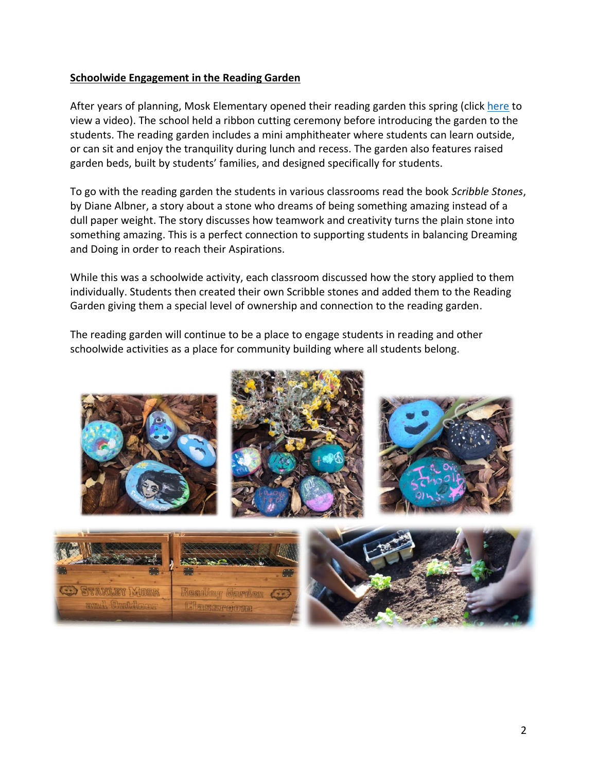## **Schoolwide Engagement in the Reading Garden**

After years of planning, Mosk Elementary opened their reading garden this spring (clic[k here](https://www.youtube.com/watch?v=okQaFfcWaP0) to view a video). The school held a ribbon cutting ceremony before introducing the garden to the students. The reading garden includes a mini amphitheater where students can learn outside, or can sit and enjoy the tranquility during lunch and recess. The garden also features raised garden beds, built by students' families, and designed specifically for students.

To go with the reading garden the students in various classrooms read the book *Scribble Stones*, by Diane Albner, a story about a stone who dreams of being something amazing instead of a dull paper weight. The story discusses how teamwork and creativity turns the plain stone into something amazing. This is a perfect connection to supporting students in balancing Dreaming and Doing in order to reach their Aspirations.

While this was a schoolwide activity, each classroom discussed how the story applied to them individually. Students then created their own Scribble stones and added them to the Reading Garden giving them a special level of ownership and connection to the reading garden.

The reading garden will continue to be a place to engage students in reading and other schoolwide activities as a place for community building where all students belong.

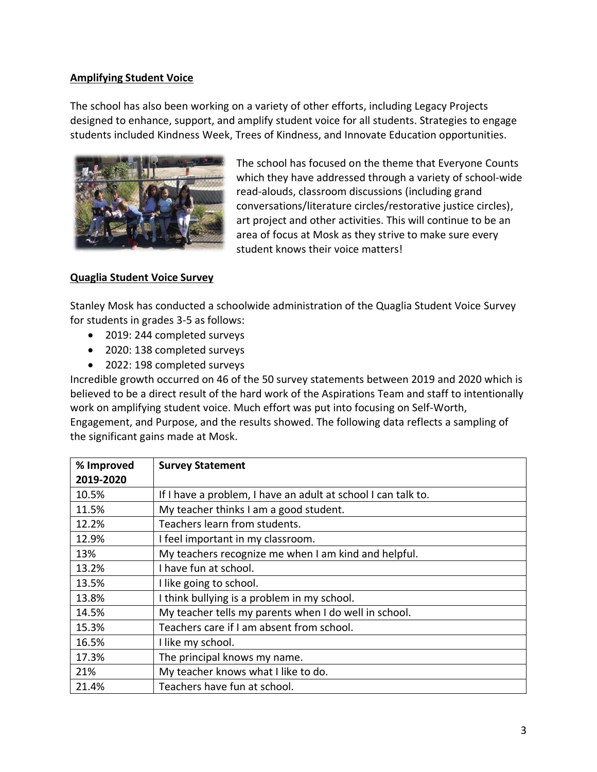## **Amplifying Student Voice**

The school has also been working on a variety of other efforts, including Legacy Projects designed to enhance, support, and amplify student voice for all students. Strategies to engage students included Kindness Week, Trees of Kindness, and Innovate Education opportunities.



The school has focused on the theme that Everyone Counts which they have addressed through a variety of school-wide read-alouds, classroom discussions (including grand conversations/literature circles/restorative justice circles), art project and other activities. This will continue to be an area of focus at Mosk as they strive to make sure every student knows their voice matters!

## **Quaglia Student Voice Survey**

Stanley Mosk has conducted a schoolwide administration of the Quaglia Student Voice Survey for students in grades 3-5 as follows:

- 2019: 244 completed surveys
- 2020: 138 completed surveys
- 2022: 198 completed surveys

Incredible growth occurred on 46 of the 50 survey statements between 2019 and 2020 which is believed to be a direct result of the hard work of the Aspirations Team and staff to intentionally work on amplifying student voice. Much effort was put into focusing on Self-Worth, Engagement, and Purpose, and the results showed. The following data reflects a sampling of the significant gains made at Mosk.

| % Improved | <b>Survey Statement</b>                                       |
|------------|---------------------------------------------------------------|
| 2019-2020  |                                                               |
| 10.5%      | If I have a problem, I have an adult at school I can talk to. |
| 11.5%      | My teacher thinks I am a good student.                        |
| 12.2%      | Teachers learn from students.                                 |
| 12.9%      | I feel important in my classroom.                             |
| 13%        | My teachers recognize me when I am kind and helpful.          |
| 13.2%      | I have fun at school.                                         |
| 13.5%      | I like going to school.                                       |
| 13.8%      | I think bullying is a problem in my school.                   |
| 14.5%      | My teacher tells my parents when I do well in school.         |
| 15.3%      | Teachers care if I am absent from school.                     |
| 16.5%      | I like my school.                                             |
| 17.3%      | The principal knows my name.                                  |
| 21%        | My teacher knows what I like to do.                           |
| 21.4%      | Teachers have fun at school.                                  |